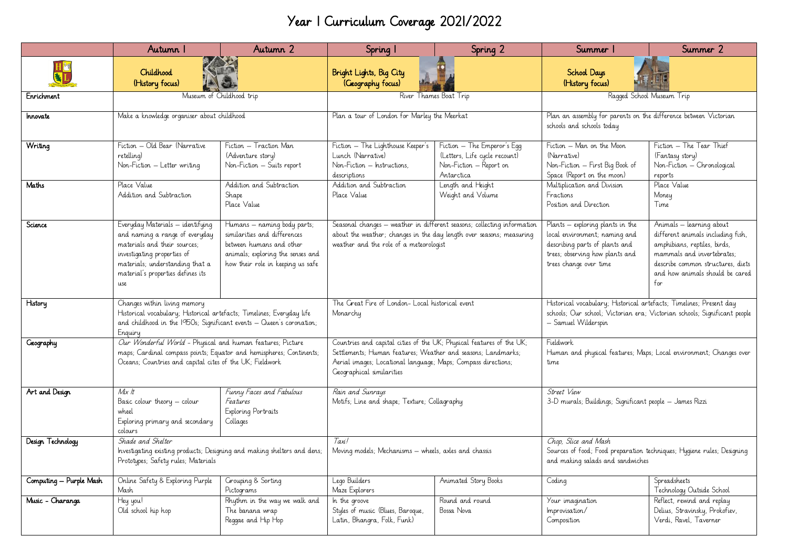## Year 1 Curriculum Coverage 2021/2022

|                         | Autumn 1                                                                                                                                                                                                         | Autumn 2                                                                                                                                                          | Spring 1                                                                                                                                                                                                                           | Spring 2                                                                                              | Summer 1                                                                                                                                                                | Summer 2                                                                                                                                                                                                   |
|-------------------------|------------------------------------------------------------------------------------------------------------------------------------------------------------------------------------------------------------------|-------------------------------------------------------------------------------------------------------------------------------------------------------------------|------------------------------------------------------------------------------------------------------------------------------------------------------------------------------------------------------------------------------------|-------------------------------------------------------------------------------------------------------|-------------------------------------------------------------------------------------------------------------------------------------------------------------------------|------------------------------------------------------------------------------------------------------------------------------------------------------------------------------------------------------------|
|                         | Childhood<br>(History focus)                                                                                                                                                                                     |                                                                                                                                                                   | Bright Lights, Big City<br>(Geography focus)                                                                                                                                                                                       |                                                                                                       | <b>School Days</b><br>(History focus)                                                                                                                                   |                                                                                                                                                                                                            |
| Enrichment              | Museum of Childhood trip                                                                                                                                                                                         |                                                                                                                                                                   | River Thames Boat Trip                                                                                                                                                                                                             |                                                                                                       | Ragged School Museum Trip                                                                                                                                               |                                                                                                                                                                                                            |
| Innovate                | Make a knowledge organiser about childhood                                                                                                                                                                       |                                                                                                                                                                   | Plan a tour of London for Marley the Meerkat                                                                                                                                                                                       |                                                                                                       | Plan an assembly for parents on the difference between Victorian<br>schools and schools today                                                                           |                                                                                                                                                                                                            |
| Writing                 | Fiction - Old Bear (Narrative<br>retelling)<br>Non-Fiction - Letter writing                                                                                                                                      | Fiction – Traction Man<br>(Adventure story)<br>Non-Fiction - Suits report                                                                                         | Fiction - The Lighthouse Keeper's<br>Lunch (Narrative)<br>Non-Fiction - Instructions.<br>descriptions                                                                                                                              | Fiction - The Emperor's Eqq<br>(Letters, Life cycle recount)<br>Non-Fiction - Report on<br>Antarctica | Fiction - Man on the Moon<br>(Narrative)<br>Non-Fiction - First Big Book of<br>Space (Report on the moon)                                                               | Fiction - The Tear Thief<br>(Fantasy story)<br>Non-Fiction - Chronological<br>reports                                                                                                                      |
| Maths                   | Place Value<br>Addition and Subtraction                                                                                                                                                                          | Addition and Subtraction<br>Shape<br>Place Value                                                                                                                  | Addition and Subtraction<br>Place Value                                                                                                                                                                                            | Length and Height<br>Weight and Volume                                                                | Multiplication and Division<br>Fractions<br>Position and Direction                                                                                                      | Place Value<br>Money<br>Time                                                                                                                                                                               |
| Science                 | Everyday Materials - identifying<br>and naming a range of everyday<br>materials and their sources;<br>investigating properties of<br>materials; understanding that a<br>material's properties defines its<br>use | Humans - naming body parts;<br>similarities and differences<br>between humans and other<br>animals; exploring the senses and<br>how their role in keeping us safe | Seasonal changes - weather in different seasons; collecting information<br>about the weather; changes in the day length over seasons; measuring<br>weather and the role of a meteorologist                                         |                                                                                                       | Plants – exploring plants in the<br>local environment; naming and<br>describing parts of plants and<br>trees; observing how plants and<br>trees change over time        | Animals - learning about<br>different animals including fish,<br>amphibians, reptiles, birds,<br>mammals and invertebrates:<br>describe common structures, diets<br>and how animals should be cared<br>for |
| History                 | Changes within living memory<br>Historical vocabulary; Historical artefacts; Timelines; Everyday life<br>and childhood in the 1950s; Significant events - Queen's coronation;<br>Enquiry                         |                                                                                                                                                                   | The Great Fire of London- Local historical event<br>Monarchy                                                                                                                                                                       |                                                                                                       | Historical vocabulary; Historical artefacts; Timelines; Present day<br>schools; Our school; Victorian era; Victorian schools; Significant people<br>- Samuel Wilderspin |                                                                                                                                                                                                            |
| <b>Geography</b>        | Our Wonderful World - Physical and human features; Picture<br>maps; Cardinal compass points; Equator and hemispheres; Continents;<br>Oceans; Countries and capital cites of the UK; Fieldwork                    |                                                                                                                                                                   | Countries and capital cities of the UK; Physical features of the UK;<br>Settlements; Human features; Weather and seasons; Landmarks;<br>Aerial images; Locational language; Maps; Compass directions;<br>Geographical similarities |                                                                                                       | Fieldwork<br>Human and physical features; Maps; Local environment; Changes over<br>time                                                                                 |                                                                                                                                                                                                            |
| Art and Design          | Mix It<br>Basic colour theory - colour<br>wheel<br>Exploring primary and secondary<br>colours                                                                                                                    | Funny Faces and Fabulous<br>Features<br>Exploring Portraits<br>Collages                                                                                           | Rain and Sunrays<br>Motifs; Line and shape; Texture; Collagraphy                                                                                                                                                                   |                                                                                                       | Street View<br>3-D murals; Buildings; Significant people - James Rizzi                                                                                                  |                                                                                                                                                                                                            |
| Design Technology       | Shade and Shelter<br>Investigating existing products; Designing and making shelters and dens;<br>Prototypes; Safety rules; Materials                                                                             |                                                                                                                                                                   | Taxil<br>Moving models; Mechanisms - wheels, axles and chassis                                                                                                                                                                     |                                                                                                       | Chop, Slice and Mash<br>Sources of food; Food preparation techniques; Hygiene rules; Designing<br>and making salads and sandwiches                                      |                                                                                                                                                                                                            |
| Computing - Purple Mash | Online Safety & Exploring Purple<br>Mash                                                                                                                                                                         | Grouping & Sorting<br>Pictograms                                                                                                                                  | Lego Builders<br>Maze Explorers                                                                                                                                                                                                    | Animated Story Books                                                                                  | Coding                                                                                                                                                                  | Spreadsheets<br>Technology Outside School                                                                                                                                                                  |
| Music - Charanga        | Hey you!<br>Old school hip hop                                                                                                                                                                                   | Rhythm in the way we walk and<br>The banana wrap<br>Reggae and Hip Hop                                                                                            | In the groove<br>Styles of music (Blues, Baroque,<br>Latin, Bhangra, Folk, Funk)                                                                                                                                                   | Round and round<br>Bossa Nova                                                                         | Your imagination<br>Improvisation/<br>Composition                                                                                                                       | Reflect, rewind and replay<br>Delius, Stravinsky, Prokofiev,<br>Verdi, Ravel, Taverner                                                                                                                     |